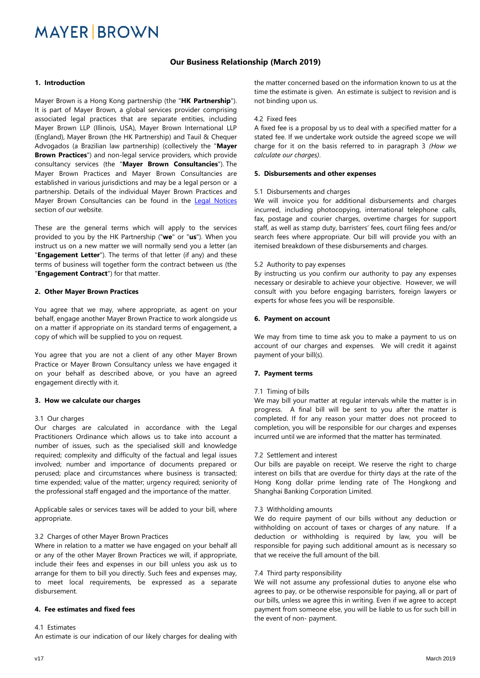# **MAYER BROWN**

# **Our Business Relationship (March 2019)**

## **1. Introduction**

Mayer Brown is a Hong Kong partnership (the "**HK Partnership**"). It is part of Mayer Brown, a global services provider comprising associated legal practices that are separate entities, including Mayer Brown LLP (Illinois, USA), Mayer Brown International LLP (England), Mayer Brown (the HK Partnership) and Tauil & Chequer Advogados (a Brazilian law partnership) (collectively the "**Mayer Brown Practices**") and non-legal service providers, which provide consultancy services (the "**Mayer Brown Consultancies**"). The Mayer Brown Practices and Mayer Brown Consultancies are established in various jurisdictions and may be a legal person or a partnership. Details of the individual Mayer Brown Practices and Mayer Brown Consultancies can be found in the Legal Notices section of our website.

These are the general terms which will apply to the services provided to you by the HK Partnership ("**we**" or "**us**"). When you instruct us on a new matter we will normally send you a letter (an "**Engagement Letter**"). The terms of that letter (if any) and these terms of business will together form the contract between us (the "**Engagement Contract**") for that matter.

## **2. Other Mayer Brown Practices**

You agree that we may, where appropriate, as agent on your behalf, engage another Mayer Brown Practice to work alongside us on a matter if appropriate on its standard terms of engagement, a copy of which will be supplied to you on request.

You agree that you are not a client of any other Mayer Brown Practice or Mayer Brown Consultancy unless we have engaged it on your behalf as described above, or you have an agreed engagement directly with it.

## **3. How we calculate our charges**

## 3.1 Our charges

Our charges are calculated in accordance with the Legal Practitioners Ordinance which allows us to take into account a number of issues, such as the specialised skill and knowledge required; complexity and difficulty of the factual and legal issues involved; number and importance of documents prepared or perused; place and circumstances where business is transacted; time expended; value of the matter; urgency required; seniority of the professional staff engaged and the importance of the matter.

Applicable sales or services taxes will be added to your bill, where appropriate.

## 3.2 Charges of other Mayer Brown Practices

Where in relation to a matter we have engaged on your behalf all or any of the other Mayer Brown Practices we will, if appropriate, include their fees and expenses in our bill unless you ask us to arrange for them to bill you directly. Such fees and expenses may, to meet local requirements, be expressed as a separate disbursement.

# **4. Fee estimates and fixed fees**

## 4.1 Estimates

An estimate is our indication of our likely charges for dealing with

the matter concerned based on the information known to us at the time the estimate is given. An estimate is subject to revision and is not binding upon us.

## 4.2 Fixed fees

A fixed fee is a proposal by us to deal with a specified matter for a stated fee. If we undertake work outside the agreed scope we will charge for it on the basis referred to in paragraph 3 *(How we calculate our charges)*.

## **5. Disbursements and other expenses**

## 5.1 Disbursements and charges

We will invoice you for additional disbursements and charges incurred, including photocopying, international telephone calls, fax, postage and courier charges, overtime charges for support staff, as well as stamp duty, barristers' fees, court filing fees and/or search fees where appropriate. Our bill will provide you with an itemised breakdown of these disbursements and charges.

## 5.2 Authority to pay expenses

By instructing us you confirm our authority to pay any expenses necessary or desirable to achieve your objective. However, we will consult with you before engaging barristers, foreign lawyers or experts for whose fees you will be responsible.

## **6. Payment on account**

We may from time to time ask you to make a payment to us on account of our charges and expenses. We will credit it against payment of your bill(s).

# **7. Payment terms**

# 7.1 Timing of bills

We may bill your matter at regular intervals while the matter is in progress. A final bill will be sent to you after the matter is completed. If for any reason your matter does not proceed to completion, you will be responsible for our charges and expenses incurred until we are informed that the matter has terminated.

## 7.2 Settlement and interest

Our bills are payable on receipt. We reserve the right to charge interest on bills that are overdue for thirty days at the rate of the Hong Kong dollar prime lending rate of The Hongkong and Shanghai Banking Corporation Limited.

## 7.3 Withholding amounts

We do require payment of our bills without any deduction or withholding on account of taxes or charges of any nature. If a deduction or withholding is required by law, you will be responsible for paying such additional amount as is necessary so that we receive the full amount of the bill.

## 7.4 Third party responsibility

We will not assume any professional duties to anyone else who agrees to pay, or be otherwise responsible for paying, all or part of our bills, unless we agree this in writing. Even if we agree to accept payment from someone else, you will be liable to us for such bill in the event of non- payment.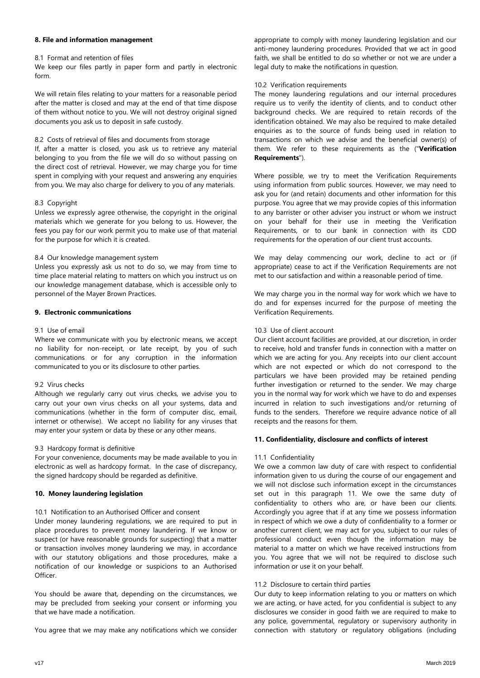#### **8. File and information management**

#### 8.1 Format and retention of files

We keep our files partly in paper form and partly in electronic form.

We will retain files relating to your matters for a reasonable period after the matter is closed and may at the end of that time dispose of them without notice to you. We will not destroy original signed documents you ask us to deposit in safe custody.

## 8.2 Costs of retrieval of files and documents from storage

If, after a matter is closed, you ask us to retrieve any material belonging to you from the file we will do so without passing on the direct cost of retrieval. However, we may charge you for time spent in complying with your request and answering any enquiries from you. We may also charge for delivery to you of any materials.

## 8.3 Copyright

Unless we expressly agree otherwise, the copyright in the original materials which we generate for you belong to us. However, the fees you pay for our work permit you to make use of that material for the purpose for which it is created.

## 8.4 Our knowledge management system

Unless you expressly ask us not to do so, we may from time to time place material relating to matters on which you instruct us on our knowledge management database, which is accessible only to personnel of the Mayer Brown Practices.

# **9. Electronic communications**

## 9.1 Use of email

Where we communicate with you by electronic means, we accept no liability for non-receipt, or late receipt, by you of such communications or for any corruption in the information communicated to you or its disclosure to other parties.

## 9.2 Virus checks

Although we regularly carry out virus checks, we advise you to carry out your own virus checks on all your systems, data and communications (whether in the form of computer disc, email, internet or otherwise). We accept no liability for any viruses that may enter your system or data by these or any other means.

## 9.3 Hardcopy format is definitive

For your convenience, documents may be made available to you in electronic as well as hardcopy format. In the case of discrepancy, the signed hardcopy should be regarded as definitive.

## **10. Money laundering legislation**

## 10.1 Notification to an Authorised Officer and consent

Under money laundering regulations, we are required to put in place procedures to prevent money laundering. If we know or suspect (or have reasonable grounds for suspecting) that a matter or transaction involves money laundering we may, in accordance with our statutory obligations and those procedures, make a notification of our knowledge or suspicions to an Authorised Officer.

You should be aware that, depending on the circumstances, we may be precluded from seeking your consent or informing you that we have made a notification.

You agree that we may make any notifications which we consider

appropriate to comply with money laundering legislation and our anti-money laundering procedures. Provided that we act in good faith, we shall be entitled to do so whether or not we are under a legal duty to make the notifications in question.

## 10.2 Verification requirements

The money laundering regulations and our internal procedures require us to verify the identity of clients, and to conduct other background checks. We are required to retain records of the identification obtained. We may also be required to make detailed enquiries as to the source of funds being used in relation to transactions on which we advise and the beneficial owner(s) of them. We refer to these requirements as the ("**Verification Requirements**").

Where possible, we try to meet the Verification Requirements using information from public sources. However, we may need to ask you for (and retain) documents and other information for this purpose. You agree that we may provide copies of this information to any barrister or other adviser you instruct or whom we instruct on your behalf for their use in meeting the Verification Requirements, or to our bank in connection with its CDD requirements for the operation of our client trust accounts.

We may delay commencing our work, decline to act or (if appropriate) cease to act if the Verification Requirements are not met to our satisfaction and within a reasonable period of time.

We may charge you in the normal way for work which we have to do and for expenses incurred for the purpose of meeting the Verification Requirements.

# 10.3 Use of client account

Our client account facilities are provided, at our discretion, in order to receive, hold and transfer funds in connection with a matter on which we are acting for you. Any receipts into our client account which are not expected or which do not correspond to the particulars we have been provided may be retained pending further investigation or returned to the sender. We may charge you in the normal way for work which we have to do and expenses incurred in relation to such investigations and/or returning of funds to the senders. Therefore we require advance notice of all receipts and the reasons for them.

## **11. Confidentiality, disclosure and conflicts of interest**

## 11.1 Confidentiality

We owe a common law duty of care with respect to confidential information given to us during the course of our engagement and we will not disclose such information except in the circumstances set out in this paragraph 11. We owe the same duty of confidentiality to others who are, or have been our clients. Accordingly you agree that if at any time we possess information in respect of which we owe a duty of confidentiality to a former or another current client, we may act for you, subject to our rules of professional conduct even though the information may be material to a matter on which we have received instructions from you. You agree that we will not be required to disclose such information or use it on your behalf.

## 11.2 Disclosure to certain third parties

Our duty to keep information relating to you or matters on which we are acting, or have acted, for you confidential is subject to any disclosures we consider in good faith we are required to make to any police, governmental, regulatory or supervisory authority in connection with statutory or regulatory obligations (including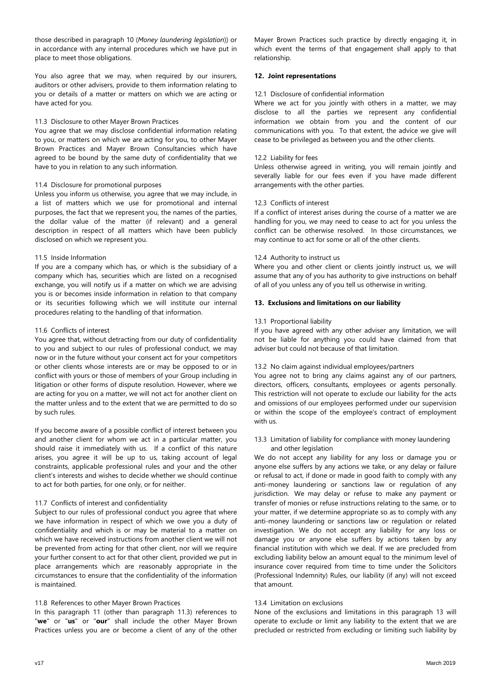those described in paragraph 10 (*Money laundering legislation*)) or in accordance with any internal procedures which we have put in place to meet those obligations.

You also agree that we may, when required by our insurers, auditors or other advisers, provide to them information relating to you or details of a matter or matters on which we are acting or have acted for you.

## 11.3 Disclosure to other Mayer Brown Practices

You agree that we may disclose confidential information relating to you, or matters on which we are acting for you, to other Mayer Brown Practices and Mayer Brown Consultancies which have agreed to be bound by the same duty of confidentiality that we have to you in relation to any such information.

## 11.4 Disclosure for promotional purposes

Unless you inform us otherwise, you agree that we may include, in a list of matters which we use for promotional and internal purposes, the fact that we represent you, the names of the parties, the dollar value of the matter (if relevant) and a general description in respect of all matters which have been publicly disclosed on which we represent you.

## 11.5 Inside Information

If you are a company which has, or which is the subsidiary of a company which has, securities which are listed on a recognised exchange, you will notify us if a matter on which we are advising you is or becomes inside information in relation to that company or its securities following which we will institute our internal procedures relating to the handling of that information.

## 11.6 Conflicts of interest

You agree that, without detracting from our duty of confidentiality to you and subject to our rules of professional conduct, we may now or in the future without your consent act for your competitors or other clients whose interests are or may be opposed to or in conflict with yours or those of members of your Group including in litigation or other forms of dispute resolution. However, where we are acting for you on a matter, we will not act for another client on the matter unless and to the extent that we are permitted to do so by such rules.

If you become aware of a possible conflict of interest between you and another client for whom we act in a particular matter, you should raise it immediately with us. If a conflict of this nature arises, you agree it will be up to us, taking account of legal constraints, applicable professional rules and your and the other client's interests and wishes to decide whether we should continue to act for both parties, for one only, or for neither.

## 11.7 Conflicts of interest and confidentiality

Subject to our rules of professional conduct you agree that where we have information in respect of which we owe you a duty of confidentiality and which is or may be material to a matter on which we have received instructions from another client we will not be prevented from acting for that other client, nor will we require your further consent to act for that other client, provided we put in place arrangements which are reasonably appropriate in the circumstances to ensure that the confidentiality of the information is maintained.

# 11.8 References to other Mayer Brown Practices

In this paragraph 11 (other than paragraph 11.3) references to "**we**" or "**us**" or "**our**" shall include the other Mayer Brown Practices unless you are or become a client of any of the other

Mayer Brown Practices such practice by directly engaging it, in which event the terms of that engagement shall apply to that relationship.

## **12. Joint representations**

## 12.1 Disclosure of confidential information

Where we act for you jointly with others in a matter, we may disclose to all the parties we represent any confidential information we obtain from you and the content of our communications with you. To that extent, the advice we give will cease to be privileged as between you and the other clients.

## 12.2 Liability for fees

Unless otherwise agreed in writing, you will remain jointly and severally liable for our fees even if you have made different arrangements with the other parties.

## 12.3 Conflicts of interest

If a conflict of interest arises during the course of a matter we are handling for you, we may need to cease to act for you unless the conflict can be otherwise resolved. In those circumstances, we may continue to act for some or all of the other clients.

## 12.4 Authority to instruct us

Where you and other client or clients jointly instruct us, we will assume that any of you has authority to give instructions on behalf of all of you unless any of you tell us otherwise in writing.

## **13. Exclusions and limitations on our liability**

## 13.1 Proportional liability

If you have agreed with any other adviser any limitation, we will not be liable for anything you could have claimed from that adviser but could not because of that limitation.

## 13.2 No claim against individual employees/partners

You agree not to bring any claims against any of our partners, directors, officers, consultants, employees or agents personally. This restriction will not operate to exclude our liability for the acts and omissions of our employees performed under our supervision or within the scope of the employee's contract of employment with us.

## 13.3 Limitation of liability for compliance with money laundering and other legislation

We do not accept any liability for any loss or damage you or anyone else suffers by any actions we take, or any delay or failure or refusal to act, if done or made in good faith to comply with any anti-money laundering or sanctions law or regulation of any jurisdiction. We may delay or refuse to make any payment or transfer of monies or refuse instructions relating to the same, or to your matter, if we determine appropriate so as to comply with any anti-money laundering or sanctions law or regulation or related investigation. We do not accept any liability for any loss or damage you or anyone else suffers by actions taken by any financial institution with which we deal. If we are precluded from excluding liability below an amount equal to the minimum level of insurance cover required from time to time under the Solicitors (Professional Indemnity) Rules, our liability (if any) will not exceed that amount.

## 13.4 Limitation on exclusions

None of the exclusions and limitations in this paragraph 13 will operate to exclude or limit any liability to the extent that we are precluded or restricted from excluding or limiting such liability by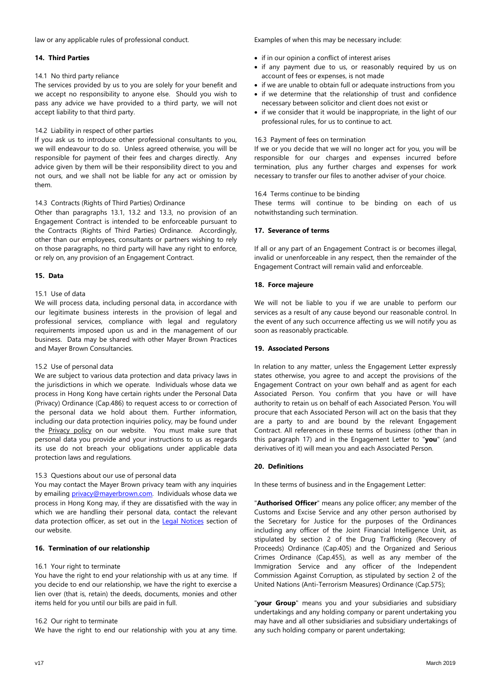## **14. Third Parties**

## 14.1 No third party reliance

The services provided by us to you are solely for your benefit and we accept no responsibility to anyone else. Should you wish to pass any advice we have provided to a third party, we will not accept liability to that third party.

## 14.2 Liability in respect of other parties

If you ask us to introduce other professional consultants to you, we will endeavour to do so. Unless agreed otherwise, you will be responsible for payment of their fees and charges directly. Any advice given by them will be their responsibility direct to you and not ours, and we shall not be liable for any act or omission by them.

## 14.3 Contracts (Rights of Third Parties) Ordinance

Other than paragraphs 13.1, 13.2 and 13.3, no provision of an Engagement Contract is intended to be enforceable pursuant to the Contracts (Rights of Third Parties) Ordinance. Accordingly, other than our employees, consultants or partners wishing to rely on those paragraphs, no third party will have any right to enforce, or rely on, any provision of an Engagement Contract.

## **15. Data**

## 15.1 Use of data

We will process data, including personal data, in accordance with our legitimate business interests in the provision of legal and professional services, compliance with legal and regulatory requirements imposed upon us and in the management of our business. Data may be shared with other Mayer Brown Practices and Mayer Brown Consultancies.

## 15.2 Use of personal data

We are subject to various data protection and data privacy laws in the jurisdictions in which we operate. Individuals whose data we process in Hong Kong have certain rights under the Personal Data (Privacy) Ordinance (Cap.486) to request access to or correction of the personal data we hold about them. Further information, including our data protection inquiries policy, may be found under the Privacy policy on our website. You must make sure that personal data you provide and your instructions to us as regards its use do not breach your obligations under applicable data protection laws and regulations.

## 15.3 Questions about our use of personal data

You may contact the Mayer Brown privacy team with any inquiries by emailing privacy@mayerbrown.com. Individuals whose data we process in Hong Kong may, if they are dissatisfied with the way in which we are handling their personal data, contact the relevant data protection officer, as set out in the Legal Notices section of our website.

# **16. Termination of our relationship**

## 16.1 Your right to terminate

You have the right to end your relationship with us at any time. If you decide to end our relationship, we have the right to exercise a lien over (that is, retain) the deeds, documents, monies and other items held for you until our bills are paid in full.

## 16.2 Our right to terminate

We have the right to end our relationship with you at any time.

Examples of when this may be necessary include:

- if in our opinion a conflict of interest arises
- if any payment due to us, or reasonably required by us on account of fees or expenses, is not made
- if we are unable to obtain full or adequate instructions from you
- if we determine that the relationship of trust and confidence necessary between solicitor and client does not exist or
- if we consider that it would be inappropriate, in the light of our professional rules, for us to continue to act.

## 16.3 Payment of fees on termination

If we or you decide that we will no longer act for you, you will be responsible for our charges and expenses incurred before termination, plus any further charges and expenses for work necessary to transfer our files to another adviser of your choice.

## 16.4 Terms continue to be binding

These terms will continue to be binding on each of us notwithstanding such termination.

## **17. Severance of terms**

If all or any part of an Engagement Contract is or becomes illegal, invalid or unenforceable in any respect, then the remainder of the Engagement Contract will remain valid and enforceable.

## **18. Force majeure**

We will not be liable to you if we are unable to perform our services as a result of any cause beyond our reasonable control. In the event of any such occurrence affecting us we will notify you as soon as reasonably practicable.

## **19. Associated Persons**

In relation to any matter, unless the Engagement Letter expressly states otherwise, you agree to and accept the provisions of the Engagement Contract on your own behalf and as agent for each Associated Person. You confirm that you have or will have authority to retain us on behalf of each Associated Person. You will procure that each Associated Person will act on the basis that they are a party to and are bound by the relevant Engagement Contract. All references in these terms of business (other than in this paragraph 17) and in the Engagement Letter to "**you**" (and derivatives of it) will mean you and each Associated Person.

## **20. Definitions**

In these terms of business and in the Engagement Letter:

"**Authorised Officer**" means any police officer; any member of the Customs and Excise Service and any other person authorised by the Secretary for Justice for the purposes of the Ordinances including any officer of the Joint Financial Intelligence Unit, as stipulated by section 2 of the Drug Trafficking (Recovery of Proceeds) Ordinance (Cap.405) and the Organized and Serious Crimes Ordinance (Cap.455), as well as any member of the Immigration Service and any officer of the Independent Commission Against Corruption, as stipulated by section 2 of the United Nations (Anti-Terrorism Measures) Ordinance (Cap.575);

"**your Group**" means you and your subsidiaries and subsidiary undertakings and any holding company or parent undertaking you may have and all other subsidiaries and subsidiary undertakings of any such holding company or parent undertaking;